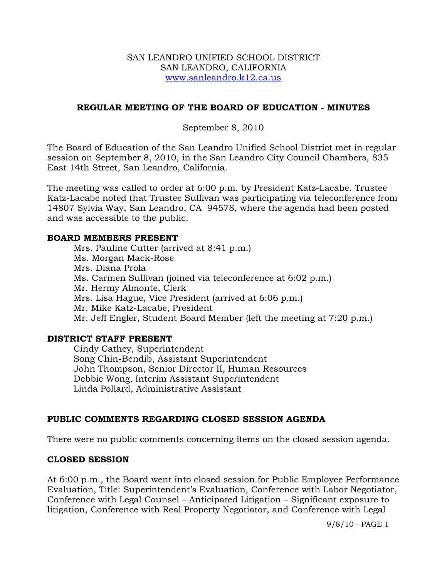#### SAN LEANDRO UNIFIED SCHOOL DISTRICT SAN LEANDRO, CALIFORNIA www.sanleandro.k12.ca.us

## **REGULAR MEETING OF THE BOARD OF EDUCATION - MINUTES**

## September 8, 2010

The Board of Education of the San Leandro Unified School District met in regular session on September 8, 2010, in the San Leandro City Council Chambers, 835 East 14th Street, San Leandro, California.

The meeting was called to order at 6:00 p.m. by President Katz-Lacabe. Trustee Katz-Lacabe noted that Trustee Sullivan was participating via teleconference from 14807 Sylvia Way, San Leandro, CA 94578, where the agenda had been posted and was accessible to the public.

### **BOARD MEMBERS PRESENT**

Mrs. Pauline Cutter (arrived at 8:41 p.m.) Ms. Morgan Mack-Rose Mrs. Diana Prola Ms. Carmen Sullivan (joined via teleconference at 6:02 p.m.) Mr. Hermy Almonte, Clerk Mrs. Lisa Hague, Vice President (arrived at 6:06 p.m.) Mr. Mike Katz-Lacabe, President Mr. Jeff Engler, Student Board Member (left the meeting at 7:20 p.m.)

## **DISTRICT STAFF PRESENT**

Cindy Cathey, Superintendent Song Chin-Bendib, Assistant Superintendent John Thompson, Senior Director II, Human Resources Debbie Wong, Interim Assistant Superintendent Linda Pollard, Administrative Assistant

# **PUBLIC COMMENTS REGARDING CLOSED SESSION AGENDA**

There were no public comments concerning items on the closed session agenda.

## **CLOSED SESSION**

At 6:00 p.m., the Board went into closed session for Public Employee Performance Evaluation, Title: Superintendent's Evaluation, Conference with Labor Negotiator, Conference with Legal Counsel – Anticipated Litigation – Significant exposure to litigation, Conference with Real Property Negotiator, and Conference with Legal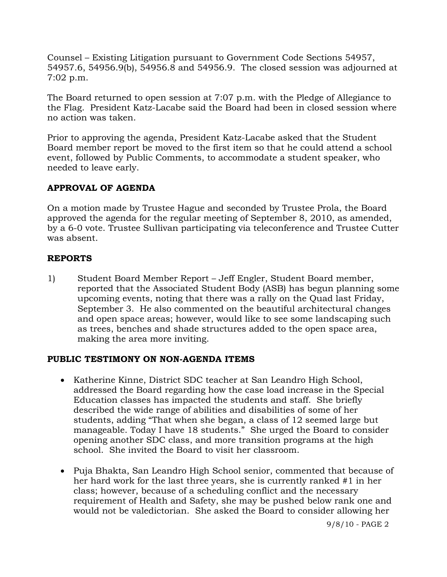Counsel – Existing Litigation pursuant to Government Code Sections 54957, 54957.6, 54956.9(b), 54956.8 and 54956.9. The closed session was adjourned at 7:02 p.m.

The Board returned to open session at 7:07 p.m. with the Pledge of Allegiance to the Flag. President Katz-Lacabe said the Board had been in closed session where no action was taken.

Prior to approving the agenda, President Katz-Lacabe asked that the Student Board member report be moved to the first item so that he could attend a school event, followed by Public Comments, to accommodate a student speaker, who needed to leave early.

# **APPROVAL OF AGENDA**

On a motion made by Trustee Hague and seconded by Trustee Prola, the Board approved the agenda for the regular meeting of September 8, 2010, as amended, by a 6-0 vote. Trustee Sullivan participating via teleconference and Trustee Cutter was absent.

# **REPORTS**

1) Student Board Member Report – Jeff Engler, Student Board member, reported that the Associated Student Body (ASB) has begun planning some upcoming events, noting that there was a rally on the Quad last Friday, September 3. He also commented on the beautiful architectural changes and open space areas; however, would like to see some landscaping such as trees, benches and shade structures added to the open space area, making the area more inviting.

# **PUBLIC TESTIMONY ON NON-AGENDA ITEMS**

- Katherine Kinne, District SDC teacher at San Leandro High School, addressed the Board regarding how the case load increase in the Special Education classes has impacted the students and staff. She briefly described the wide range of abilities and disabilities of some of her students, adding "That when she began, a class of 12 seemed large but manageable. Today I have 18 students." She urged the Board to consider opening another SDC class, and more transition programs at the high school. She invited the Board to visit her classroom.
- Puja Bhakta, San Leandro High School senior, commented that because of her hard work for the last three years, she is currently ranked #1 in her class; however, because of a scheduling conflict and the necessary requirement of Health and Safety, she may be pushed below rank one and would not be valedictorian. She asked the Board to consider allowing her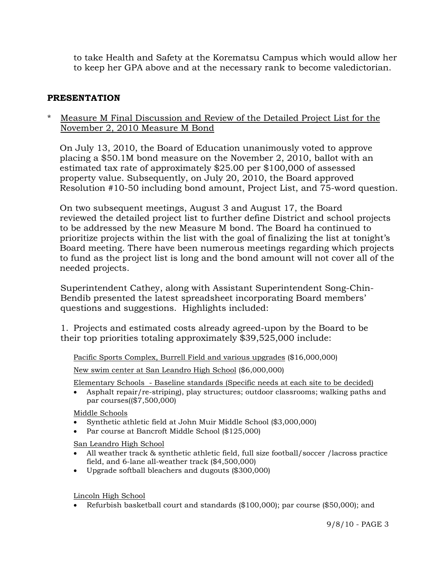to take Health and Safety at the Korematsu Campus which would allow her to keep her GPA above and at the necessary rank to become valedictorian.

## **PRESENTATION**

\* Measure M Final Discussion and Review of the Detailed Project List for the November 2, 2010 Measure M Bond

 On July 13, 2010, the Board of Education unanimously voted to approve placing a \$50.1M bond measure on the November 2, 2010, ballot with an estimated tax rate of approximately \$25.00 per \$100,000 of assessed property value. Subsequently, on July 20, 2010, the Board approved Resolution #10-50 including bond amount, Project List, and 75-word question.

 On two subsequent meetings, August 3 and August 17, the Board reviewed the detailed project list to further define District and school projects to be addressed by the new Measure M bond. The Board ha continued to prioritize projects within the list with the goal of finalizing the list at tonight's Board meeting. There have been numerous meetings regarding which projects to fund as the project list is long and the bond amount will not cover all of the needed projects.

Superintendent Cathey, along with Assistant Superintendent Song-Chin-Bendib presented the latest spreadsheet incorporating Board members' questions and suggestions. Highlights included:

 1. Projects and estimated costs already agreed-upon by the Board to be their top priorities totaling approximately \$39,525,000 include:

Pacific Sports Complex, Burrell Field and various upgrades (\$16,000,000)

New swim center at San Leandro High School (\$6,000,000)

Elementary Schools - Baseline standards (Specific needs at each site to be decided)

 Asphalt repair/re-striping), play structures; outdoor classrooms; walking paths and par courses((\$7,500,000)

Middle Schools

- Synthetic athletic field at John Muir Middle School (\$3,000,000)
- Par course at Bancroft Middle School (\$125,000)

San Leandro High School

- All weather track & synthetic athletic field, full size football/soccer /lacross practice field, and 6-lane all-weather track (\$4,500,000)
- Upgrade softball bleachers and dugouts (\$300,000)

Lincoln High School

Refurbish basketball court and standards (\$100,000); par course (\$50,000); and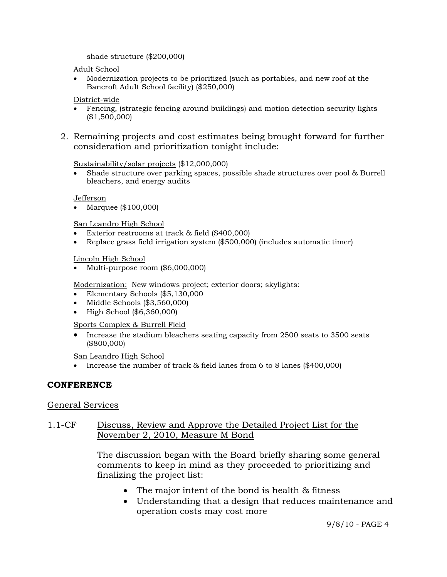shade structure (\$200,000)

Adult School

 Modernization projects to be prioritized (such as portables, and new roof at the Bancroft Adult School facility) (\$250,000)

District-wide

- Fencing, (strategic fencing around buildings) and motion detection security lights (\$1,500,000)
- 2. Remaining projects and cost estimates being brought forward for further consideration and prioritization tonight include:

#### Sustainability/solar projects (\$12,000,000)

 Shade structure over parking spaces, possible shade structures over pool & Burrell bleachers, and energy audits

Jefferson

Marquee (\$100,000)

San Leandro High School

- Exterior restrooms at track & field (\$400,000)
- Replace grass field irrigation system (\$500,000) (includes automatic timer)

#### Lincoln High School

Multi-purpose room (\$6,000,000)

Modernization: New windows project; exterior doors; skylights:

- Elementary Schools (\$5,130,000
- Middle Schools (\$3,560,000)
- High School (\$6,360,000)

#### Sports Complex & Burrell Field

• Increase the stadium bleachers seating capacity from 2500 seats to 3500 seats (\$800,000)

San Leandro High School

Increase the number of track & field lanes from 6 to 8 lanes (\$400,000)

## **CONFERENCE**

#### General Services

### 1.1-CF Discuss, Review and Approve the Detailed Project List for the November 2, 2010, Measure M Bond

The discussion began with the Board briefly sharing some general comments to keep in mind as they proceeded to prioritizing and finalizing the project list:

- The major intent of the bond is health & fitness
- Understanding that a design that reduces maintenance and operation costs may cost more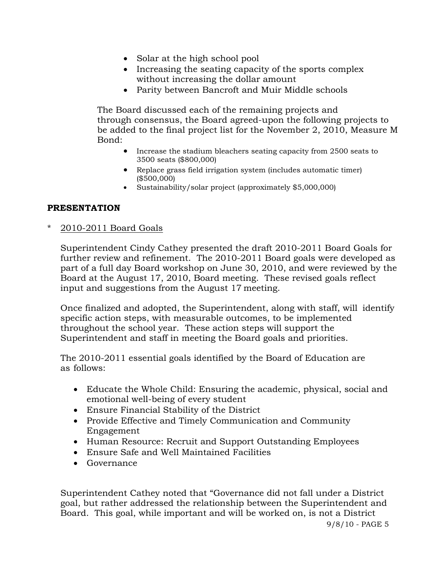- Solar at the high school pool
- Increasing the seating capacity of the sports complex without increasing the dollar amount
- Parity between Bancroft and Muir Middle schools

The Board discussed each of the remaining projects and through consensus, the Board agreed-upon the following projects to be added to the final project list for the November 2, 2010, Measure M Bond:

- Increase the stadium bleachers seating capacity from 2500 seats to 3500 seats (\$800,000)
- Replace grass field irrigation system (includes automatic timer) (\$500,000)
- Sustainability/solar project (approximately \$5,000,000)

## **PRESENTATION**

\* 2010-2011 Board Goals

Superintendent Cindy Cathey presented the draft 2010-2011 Board Goals for further review and refinement. The 2010-2011 Board goals were developed as part of a full day Board workshop on June 30, 2010, and were reviewed by the Board at the August 17, 2010, Board meeting. These revised goals reflect input and suggestions from the August 17 meeting.

 Once finalized and adopted, the Superintendent, along with staff, will identify specific action steps, with measurable outcomes, to be implemented throughout the school year. These action steps will support the Superintendent and staff in meeting the Board goals and priorities.

 The 2010-2011 essential goals identified by the Board of Education are as follows:

- Educate the Whole Child: Ensuring the academic, physical, social and emotional well-being of every student
- Ensure Financial Stability of the District
- Provide Effective and Timely Communication and Community Engagement
- Human Resource: Recruit and Support Outstanding Employees
- Ensure Safe and Well Maintained Facilities
- Governance

 Superintendent Cathey noted that "Governance did not fall under a District goal, but rather addressed the relationship between the Superintendent and Board. This goal, while important and will be worked on, is not a District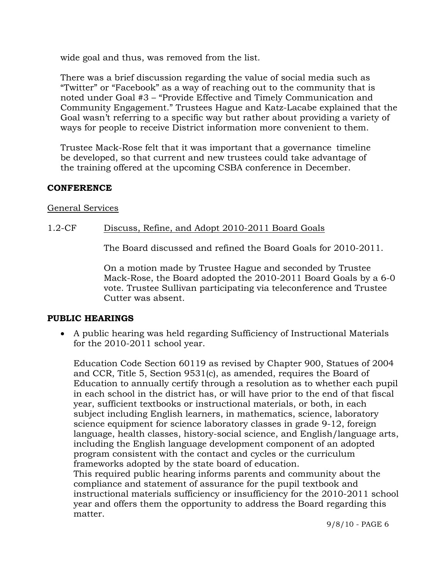wide goal and thus, was removed from the list.

 There was a brief discussion regarding the value of social media such as "Twitter" or "Facebook" as a way of reaching out to the community that is noted under Goal #3 – "Provide Effective and Timely Communication and Community Engagement." Trustees Hague and Katz-Lacabe explained that the Goal wasn't referring to a specific way but rather about providing a variety of ways for people to receive District information more convenient to them.

 Trustee Mack-Rose felt that it was important that a governance timeline be developed, so that current and new trustees could take advantage of the training offered at the upcoming CSBA conference in December.

## **CONFERENCE**

### General Services

## 1.2-CF Discuss, Refine, and Adopt 2010-2011 Board Goals

The Board discussed and refined the Board Goals for 2010-2011.

On a motion made by Trustee Hague and seconded by Trustee Mack-Rose, the Board adopted the 2010-2011 Board Goals by a 6-0 vote. Trustee Sullivan participating via teleconference and Trustee Cutter was absent.

## **PUBLIC HEARINGS**

 A public hearing was held regarding Sufficiency of Instructional Materials for the 2010-2011 school year.

Education Code Section 60119 as revised by Chapter 900, Statues of 2004 and CCR, Title 5, Section 9531(c), as amended, requires the Board of Education to annually certify through a resolution as to whether each pupil in each school in the district has, or will have prior to the end of that fiscal year, sufficient textbooks or instructional materials, or both, in each subject including English learners, in mathematics, science, laboratory science equipment for science laboratory classes in grade 9-12, foreign language, health classes, history-social science, and English/language arts, including the English language development component of an adopted program consistent with the contact and cycles or the curriculum frameworks adopted by the state board of education.

This required public hearing informs parents and community about the compliance and statement of assurance for the pupil textbook and instructional materials sufficiency or insufficiency for the 2010-2011 school year and offers them the opportunity to address the Board regarding this matter.

9/8/10 - PAGE 6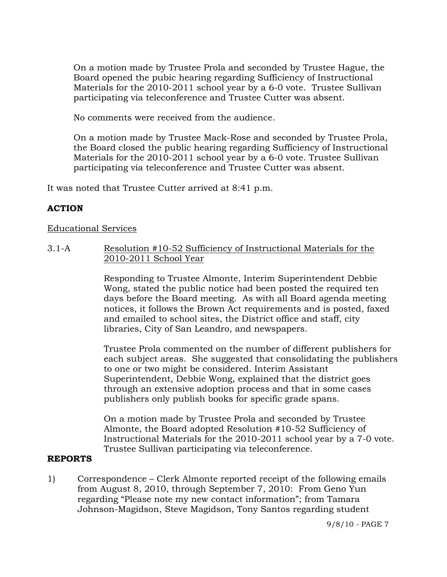On a motion made by Trustee Prola and seconded by Trustee Hague, the Board opened the pubic hearing regarding Sufficiency of Instructional Materials for the 2010-2011 school year by a 6-0 vote. Trustee Sullivan participating via teleconference and Trustee Cutter was absent.

No comments were received from the audience.

On a motion made by Trustee Mack-Rose and seconded by Trustee Prola, the Board closed the public hearing regarding Sufficiency of Instructional Materials for the 2010-2011 school year by a 6-0 vote. Trustee Sullivan participating via teleconference and Trustee Cutter was absent.

It was noted that Trustee Cutter arrived at 8:41 p.m.

# **ACTION**

# Educational Services

3.1-A Resolution #10-52 Sufficiency of Instructional Materials for the 2010-2011 School Year

> Responding to Trustee Almonte, Interim Superintendent Debbie Wong, stated the public notice had been posted the required ten days before the Board meeting. As with all Board agenda meeting notices, it follows the Brown Act requirements and is posted, faxed and emailed to school sites, the District office and staff, city libraries, City of San Leandro, and newspapers.

Trustee Prola commented on the number of different publishers for each subject areas. She suggested that consolidating the publishers to one or two might be considered. Interim Assistant Superintendent, Debbie Wong, explained that the district goes through an extensive adoption process and that in some cases publishers only publish books for specific grade spans.

On a motion made by Trustee Prola and seconded by Trustee Almonte, the Board adopted Resolution #10-52 Sufficiency of Instructional Materials for the 2010-2011 school year by a 7-0 vote. Trustee Sullivan participating via teleconference.

# **REPORTS**

1) Correspondence – Clerk Almonte reported receipt of the following emails from August 8, 2010, through September 7, 2010: From Geno Yun regarding "Please note my new contact information"; from Tamara Johnson-Magidson, Steve Magidson, Tony Santos regarding student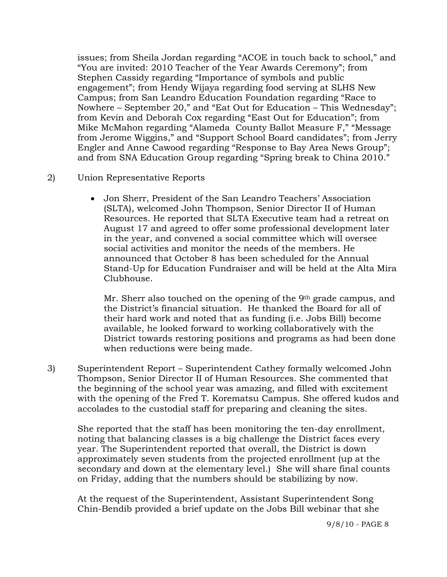issues; from Sheila Jordan regarding "ACOE in touch back to school," and "You are invited: 2010 Teacher of the Year Awards Ceremony"; from Stephen Cassidy regarding "Importance of symbols and public engagement"; from Hendy Wijaya regarding food serving at SLHS New Campus; from San Leandro Education Foundation regarding "Race to Nowhere – September 20," and "Eat Out for Education – This Wednesday"; from Kevin and Deborah Cox regarding "East Out for Education"; from Mike McMahon regarding "Alameda County Ballot Measure F," "Message from Jerome Wiggins," and "Support School Board candidates"; from Jerry Engler and Anne Cawood regarding "Response to Bay Area News Group"; and from SNA Education Group regarding "Spring break to China 2010."

- 2) Union Representative Reports
	- Jon Sherr, President of the San Leandro Teachers' Association (SLTA), welcomed John Thompson, Senior Director II of Human Resources. He reported that SLTA Executive team had a retreat on August 17 and agreed to offer some professional development later in the year, and convened a social committee which will oversee social activities and monitor the needs of the members. He announced that October 8 has been scheduled for the Annual Stand-Up for Education Fundraiser and will be held at the Alta Mira Clubhouse.

Mr. Sherr also touched on the opening of the 9th grade campus, and the District's financial situation. He thanked the Board for all of their hard work and noted that as funding (i.e. Jobs Bill) become available, he looked forward to working collaboratively with the District towards restoring positions and programs as had been done when reductions were being made.

3) Superintendent Report – Superintendent Cathey formally welcomed John Thompson, Senior Director II of Human Resources. She commented that the beginning of the school year was amazing, and filled with excitement with the opening of the Fred T. Korematsu Campus. She offered kudos and accolades to the custodial staff for preparing and cleaning the sites.

She reported that the staff has been monitoring the ten-day enrollment, noting that balancing classes is a big challenge the District faces every year. The Superintendent reported that overall, the District is down approximately seven students from the projected enrollment (up at the secondary and down at the elementary level.) She will share final counts on Friday, adding that the numbers should be stabilizing by now.

At the request of the Superintendent, Assistant Superintendent Song Chin-Bendib provided a brief update on the Jobs Bill webinar that she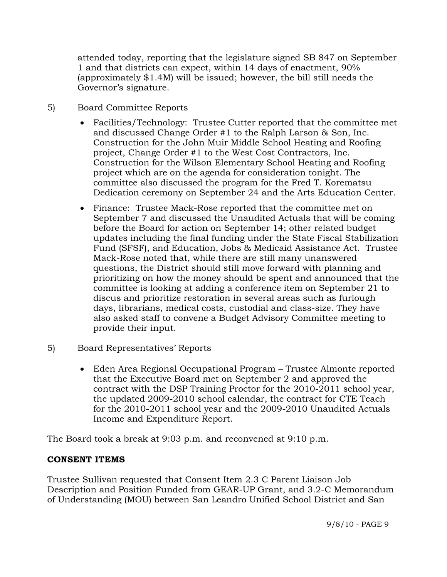attended today, reporting that the legislature signed SB 847 on September 1 and that districts can expect, within 14 days of enactment, 90% (approximately \$1.4M) will be issued; however, the bill still needs the Governor's signature.

- 5) Board Committee Reports
	- Facilities/Technology: Trustee Cutter reported that the committee met and discussed Change Order #1 to the Ralph Larson & Son, Inc. Construction for the John Muir Middle School Heating and Roofing project, Change Order #1 to the West Cost Contractors, Inc. Construction for the Wilson Elementary School Heating and Roofing project which are on the agenda for consideration tonight. The committee also discussed the program for the Fred T. Korematsu Dedication ceremony on September 24 and the Arts Education Center.
	- Finance: Trustee Mack-Rose reported that the committee met on September 7 and discussed the Unaudited Actuals that will be coming before the Board for action on September 14; other related budget updates including the final funding under the State Fiscal Stabilization Fund (SFSF), and Education, Jobs & Medicaid Assistance Act. Trustee Mack-Rose noted that, while there are still many unanswered questions, the District should still move forward with planning and prioritizing on how the money should be spent and announced that the committee is looking at adding a conference item on September 21 to discus and prioritize restoration in several areas such as furlough days, librarians, medical costs, custodial and class-size. They have also asked staff to convene a Budget Advisory Committee meeting to provide their input.
- 5) Board Representatives' Reports
	- Eden Area Regional Occupational Program Trustee Almonte reported that the Executive Board met on September 2 and approved the contract with the DSP Training Proctor for the 2010-2011 school year, the updated 2009-2010 school calendar, the contract for CTE Teach for the 2010-2011 school year and the 2009-2010 Unaudited Actuals Income and Expenditure Report.

The Board took a break at 9:03 p.m. and reconvened at 9:10 p.m.

# **CONSENT ITEMS**

Trustee Sullivan requested that Consent Item 2.3 C Parent Liaison Job Description and Position Funded from GEAR-UP Grant, and 3.2-C Memorandum of Understanding (MOU) between San Leandro Unified School District and San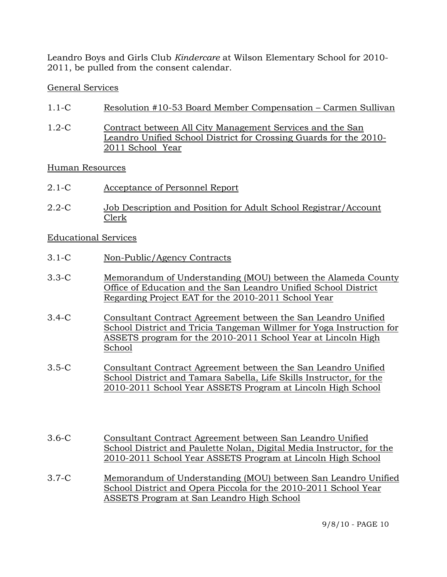Leandro Boys and Girls Club *Kindercare* at Wilson Elementary School for 2010- 2011, be pulled from the consent calendar.

## General Services

- 1.1-C Resolution #10-53 Board Member Compensation Carmen Sullivan
- 1.2-C Contract between All City Management Services and the San Leandro Unified School District for Crossing Guards for the 2010- 2011 School Year

## Human Resources

- 2.1-C Acceptance of Personnel Report
- 2.2-C Job Description and Position for Adult School Registrar/Account Clerk

## Educational Services

- 3.1-C Non-Public/Agency Contracts
- 3.3-C Memorandum of Understanding (MOU) between the Alameda County Office of Education and the San Leandro Unified School District Regarding Project EAT for the 2010-2011 School Year
- 3.4-C Consultant Contract Agreement between the San Leandro Unified School District and Tricia Tangeman Willmer for Yoga Instruction for ASSETS program for the 2010-2011 School Year at Lincoln High School
- 3.5-C Consultant Contract Agreement between the San Leandro Unified School District and Tamara Sabella, Life Skills Instructor, for the 2010-2011 School Year ASSETS Program at Lincoln High School
- 3.6-C Consultant Contract Agreement between San Leandro Unified School District and Paulette Nolan, Digital Media Instructor, for the 2010-2011 School Year ASSETS Program at Lincoln High School
- 3.7-C Memorandum of Understanding (MOU) between San Leandro Unified School District and Opera Piccola for the 2010-2011 School Year ASSETS Program at San Leandro High School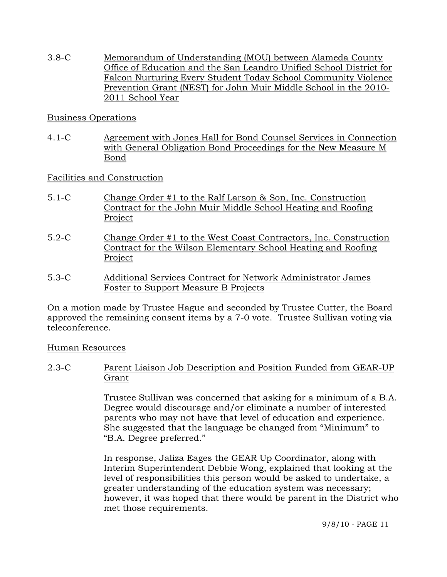3.8-C Memorandum of Understanding (MOU) between Alameda County Office of Education and the San Leandro Unified School District for Falcon Nurturing Every Student Today School Community Violence Prevention Grant (NEST) for John Muir Middle School in the 2010- 2011 School Year

## Business Operations

4.1-C Agreement with Jones Hall for Bond Counsel Services in Connection with General Obligation Bond Proceedings for the New Measure M Bond

## Facilities and Construction

- 5.1-C Change Order #1 to the Ralf Larson & Son, Inc. Construction Contract for the John Muir Middle School Heating and Roofing Project
- 5.2-C Change Order #1 to the West Coast Contractors, Inc. Construction Contract for the Wilson Elementary School Heating and Roofing Project
- 5.3-C Additional Services Contract for Network Administrator James Foster to Support Measure B Projects

On a motion made by Trustee Hague and seconded by Trustee Cutter, the Board approved the remaining consent items by a 7-0 vote. Trustee Sullivan voting via teleconference.

## Human Resources

2.3-C Parent Liaison Job Description and Position Funded from GEAR-UP Grant

> Trustee Sullivan was concerned that asking for a minimum of a B.A. Degree would discourage and/or eliminate a number of interested parents who may not have that level of education and experience. She suggested that the language be changed from "Minimum" to "B.A. Degree preferred."

> In response, Jaliza Eages the GEAR Up Coordinator, along with Interim Superintendent Debbie Wong, explained that looking at the level of responsibilities this person would be asked to undertake, a greater understanding of the education system was necessary; however, it was hoped that there would be parent in the District who met those requirements.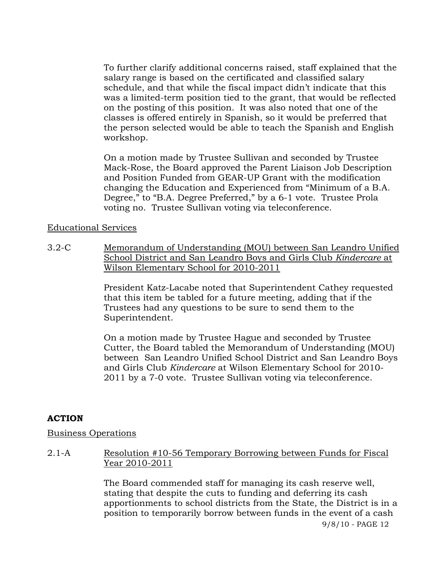To further clarify additional concerns raised, staff explained that the salary range is based on the certificated and classified salary schedule, and that while the fiscal impact didn't indicate that this was a limited-term position tied to the grant, that would be reflected on the posting of this position. It was also noted that one of the classes is offered entirely in Spanish, so it would be preferred that the person selected would be able to teach the Spanish and English workshop.

On a motion made by Trustee Sullivan and seconded by Trustee Mack-Rose, the Board approved the Parent Liaison Job Description and Position Funded from GEAR-UP Grant with the modification changing the Education and Experienced from "Minimum of a B.A. Degree," to "B.A. Degree Preferred," by a 6-1 vote. Trustee Prola voting no. Trustee Sullivan voting via teleconference.

### Educational Services

3.2-C Memorandum of Understanding (MOU) between San Leandro Unified School District and San Leandro Boys and Girls Club *Kindercare* at Wilson Elementary School for 2010-2011

> President Katz-Lacabe noted that Superintendent Cathey requested that this item be tabled for a future meeting, adding that if the Trustees had any questions to be sure to send them to the Superintendent.

On a motion made by Trustee Hague and seconded by Trustee Cutter, the Board tabled the Memorandum of Understanding (MOU) between San Leandro Unified School District and San Leandro Boys and Girls Club *Kindercare* at Wilson Elementary School for 2010- 2011 by a 7-0 vote. Trustee Sullivan voting via teleconference.

## **ACTION**

#### Business Operations

2.1-A Resolution #10-56 Temporary Borrowing between Funds for Fiscal Year 2010-2011

> 9/8/10 - PAGE 12 The Board commended staff for managing its cash reserve well, stating that despite the cuts to funding and deferring its cash apportionments to school districts from the State, the District is in a position to temporarily borrow between funds in the event of a cash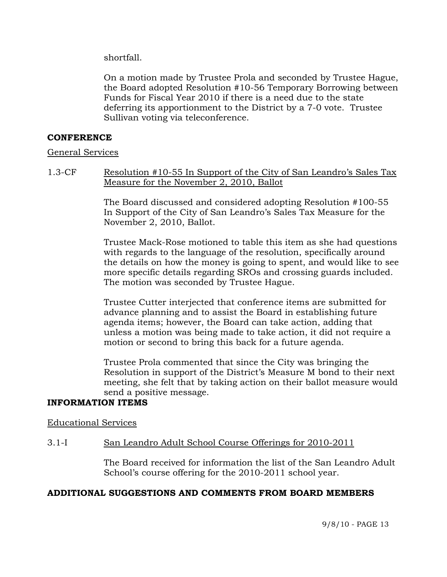shortfall.

On a motion made by Trustee Prola and seconded by Trustee Hague, the Board adopted Resolution #10-56 Temporary Borrowing between Funds for Fiscal Year 2010 if there is a need due to the state deferring its apportionment to the District by a 7-0 vote. Trustee Sullivan voting via teleconference.

### **CONFERENCE**

#### General Services

1.3-CF Resolution #10-55 In Support of the City of San Leandro's Sales Tax Measure for the November 2, 2010, Ballot

> The Board discussed and considered adopting Resolution #100-55 In Support of the City of San Leandro's Sales Tax Measure for the November 2, 2010, Ballot.

Trustee Mack-Rose motioned to table this item as she had questions with regards to the language of the resolution, specifically around the details on how the money is going to spent, and would like to see more specific details regarding SROs and crossing guards included. The motion was seconded by Trustee Hague.

Trustee Cutter interjected that conference items are submitted for advance planning and to assist the Board in establishing future agenda items; however, the Board can take action, adding that unless a motion was being made to take action, it did not require a motion or second to bring this back for a future agenda.

Trustee Prola commented that since the City was bringing the Resolution in support of the District's Measure M bond to their next meeting, she felt that by taking action on their ballot measure would send a positive message.

# **INFORMATION ITEMS**

#### Educational Services

## 3.1-I San Leandro Adult School Course Offerings for 2010-2011

The Board received for information the list of the San Leandro Adult School's course offering for the 2010-2011 school year.

## **ADDITIONAL SUGGESTIONS AND COMMENTS FROM BOARD MEMBERS**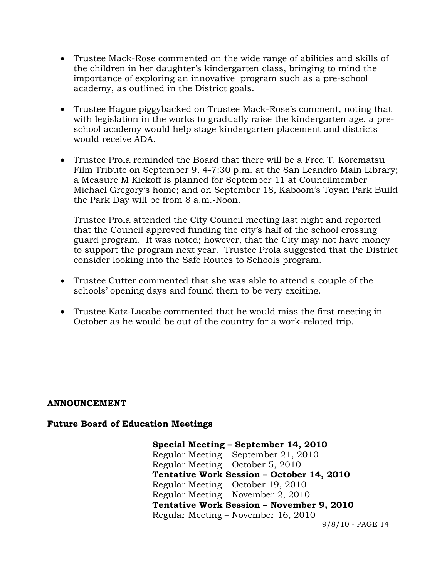- Trustee Mack-Rose commented on the wide range of abilities and skills of the children in her daughter's kindergarten class, bringing to mind the importance of exploring an innovative program such as a pre-school academy, as outlined in the District goals.
- Trustee Hague piggybacked on Trustee Mack-Rose's comment, noting that with legislation in the works to gradually raise the kindergarten age, a preschool academy would help stage kindergarten placement and districts would receive ADA.
- Trustee Prola reminded the Board that there will be a Fred T. Korematsu Film Tribute on September 9, 4-7:30 p.m. at the San Leandro Main Library; a Measure M Kickoff is planned for September 11 at Councilmember Michael Gregory's home; and on September 18, Kaboom's Toyan Park Build the Park Day will be from 8 a.m.-Noon.

Trustee Prola attended the City Council meeting last night and reported that the Council approved funding the city's half of the school crossing guard program. It was noted; however, that the City may not have money to support the program next year. Trustee Prola suggested that the District consider looking into the Safe Routes to Schools program.

- Trustee Cutter commented that she was able to attend a couple of the schools' opening days and found them to be very exciting.
- Trustee Katz-Lacabe commented that he would miss the first meeting in October as he would be out of the country for a work-related trip.

#### **ANNOUNCEMENT**

#### **Future Board of Education Meetings**

**Special Meeting – September 14, 2010**  Regular Meeting – September 21, 2010 Regular Meeting – October 5, 2010  **Tentative Work Session – October 14, 2010**  Regular Meeting – October 19, 2010 Regular Meeting – November 2, 2010  **Tentative Work Session – November 9, 2010**  Regular Meeting – November 16, 2010

9/8/10 - PAGE 14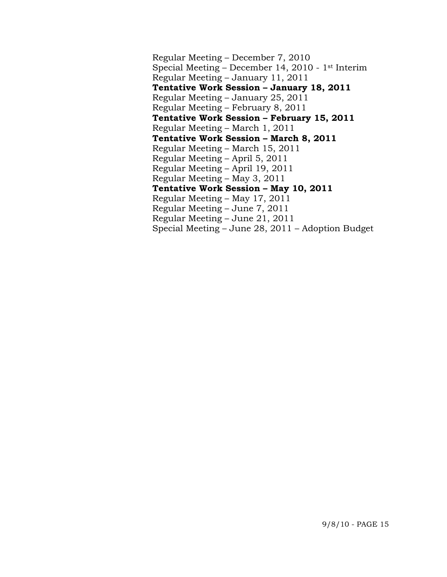Regular Meeting – December 7, 2010 Special Meeting – December 14, 2010 - 1st Interim Regular Meeting – January 11, 2011  **Tentative Work Session – January 18, 2011**  Regular Meeting – January 25, 2011 Regular Meeting – February 8, 2011  **Tentative Work Session – February 15, 2011**  Regular Meeting – March 1, 2011  **Tentative Work Session – March 8, 2011**  Regular Meeting – March 15, 2011 Regular Meeting – April 5, 2011 Regular Meeting – April 19, 2011 Regular Meeting – May 3, 2011  **Tentative Work Session – May 10, 2011**  Regular Meeting – May 17, 2011 Regular Meeting – June 7, 2011 Regular Meeting – June 21, 2011 Special Meeting – June 28, 2011 – Adoption Budget